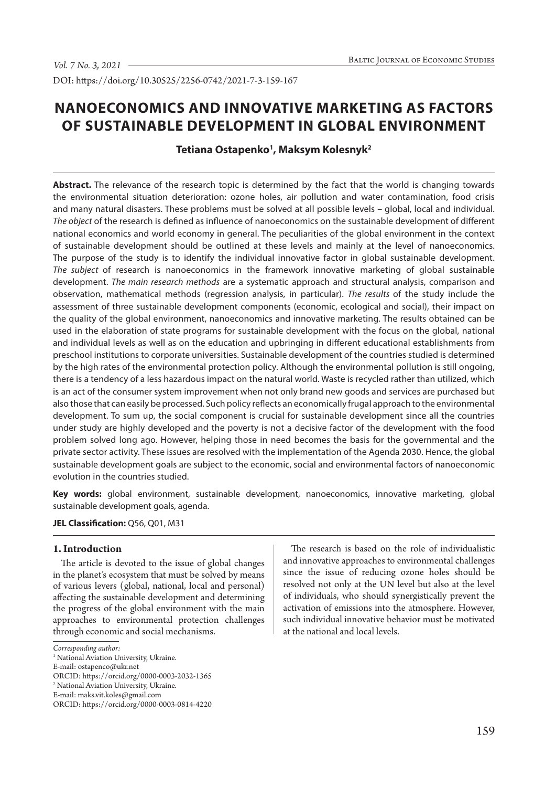DOI: https://doi.org/10.30525/2256-0742/2021-7-3-159-167

# **NANOECONOMICS AND INNOVATIVE MARKETING AS FACTORS OF SUSTAINABLE DEVELOPMENT IN GLOBAL ENVIRONMENT**

# **Tetiana Ostapenko1 , Maksym Kolesnyk2**

**Abstract.** The relevance of the research topic is determined by the fact that the world is changing towards the environmental situation deterioration: ozone holes, air pollution and water contamination, food crisis and many natural disasters. These problems must be solved at all possible levels – global, local and individual. *The object* of the research is defined as influence of nanoeconomics on the sustainable development of different national economics and world economy in general. The peculiarities of the global environment in the context of sustainable development should be outlined at these levels and mainly at the level of nanoeconomics. The purpose of the study is to identify the individual innovative factor in global sustainable development. *The subject* of research is nanoeconomics in the framework innovative marketing of global sustainable development. *The main research methods* are a systematic approach and structural analysis, comparison and observation, mathematical methods (regression analysis, in particular). *The results* of the study include the assessment of three sustainable development components (economic, ecological and social), their impact on the quality of the global environment, nanoeconomics and innovative marketing. The results obtained can be used in the elaboration of state programs for sustainable development with the focus on the global, national and individual levels as well as on the education and upbringing in different educational establishments from preschool institutions to corporate universities. Sustainable development of the countries studied is determined by the high rates of the environmental protection policy. Although the environmental pollution is still ongoing, there is a tendency of a less hazardous impact on the natural world. Waste is recycled rather than utilized, which is an act of the consumer system improvement when not only brand new goods and services are purchased but also those that can easily be processed. Such policy reflects an economically frugal approach to the environmental development. To sum up, the social component is crucial for sustainable development since all the countries under study are highly developed and the poverty is not a decisive factor of the development with the food problem solved long ago. However, helping those in need becomes the basis for the governmental and the private sector activity. These issues are resolved with the implementation of the Agenda 2030. Hence, the global sustainable development goals are subject to the economic, social and environmental factors of nanoeconomic evolution in the countries studied.

**Key words:** global environment, sustainable development, nanoeconomics, innovative marketing, global sustainable development goals, agenda.

**JEL Classification:** Q56, Q01, M31

## **1. Introduction**

The article is devoted to the issue of global changes in the planet's ecosystem that must be solved by means of various levers (global, national, local and personal) affecting the sustainable development and determining the progress of the global environment with the main approaches to environmental protection challenges through economic and social mechanisms.

The research is based on the role of individualistic and innovative approaches to environmental challenges since the issue of reducing ozone holes should be resolved not only at the UN level but also at the level of individuals, who should synergistically prevent the activation of emissions into the atmosphere. However, such individual innovative behavior must be motivated at the national and local levels.

*Corresponding author:*

<sup>&</sup>lt;sup>1</sup> National Aviation University, Ukraine.

E-mail: ostapenco@ukr.net

ORCID: https://orcid.org/0000-0003-2032-1365

<sup>2</sup> National Aviation University, Ukraine.

E-mail: maks.vit.koles@gmail.com

ORCID: https://orcid.org/0000-0003-0814-4220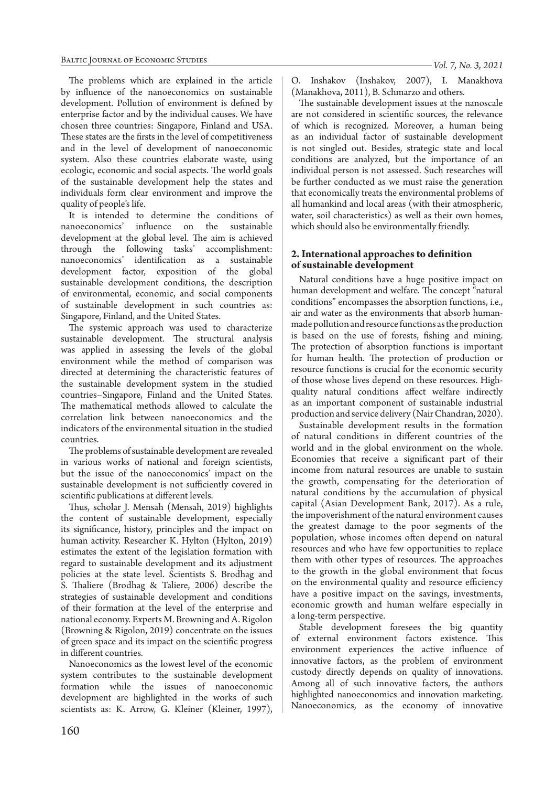The problems which are explained in the article by influence of the nanoeconomics on sustainable development. Pollution of environment is defined by enterprise factor and by the individual causes. We have chosen three countries: Singapore, Finland and USA. These states are the firsts in the level of competitiveness and in the level of development of nanoeconomic system. Also these countries elaborate waste, using ecologic, economic and social aspects. The world goals of the sustainable development help the states and individuals form clear environment and improve the quality of people's life.

It is intended to determine the conditions of nanoeconomics' influence on the sustainable development at the global level. The aim is achieved through the following tasks' accomplishment: nanoeconomics' identification as a sustainable development factor, exposition of the global sustainable development conditions, the description of environmental, economic, and social components of sustainable development in such countries as: Singapore, Finland, and the United States.

The systemic approach was used to characterize sustainable development. The structural analysis was applied in assessing the levels of the global environment while the method of comparison was directed at determining the characteristic features of the sustainable development system in the studied countries–Singapore, Finland and the United States. The mathematical methods allowed to calculate the correlation link between nanoeconomics and the indicators of the environmental situation in the studied countries.

The problems of sustainable development are revealed in various works of national and foreign scientists, but the issue of the nanoeconomics' impact on the sustainable development is not sufficiently covered in scientific publications at different levels.

Thus, scholar J. Mensah (Mensah, 2019) highlights the content of sustainable development, especially its significance, history, principles and the impact on human activity. Researcher K. Hylton (Hylton, 2019) estimates the extent of the legislation formation with regard to sustainable development and its adjustment policies at the state level. Scientists S. Brodhag and S. Thaliere (Brodhag & Taliere, 2006) describe the strategies of sustainable development and conditions of their formation at the level of the enterprise and national economy. Experts M. Browning and A. Rigolon (Browning & Rigolon, 2019) concentrate on the issues of green space and its impact on the scientific progress in different countries.

Nanoeconomics as the lowest level of the economic system contributes to the sustainable development formation while the issues of nanoeconomic development are highlighted in the works of such scientists as: K. Arrow, G. Kleiner (Kleiner, 1997), *Vol. 7, No. 3, 2021*

O. Inshakov (Inshakov, 2007), I. Manakhova (Manakhova, 2011), B. Schmarzo and others.

The sustainable development issues at the nanoscale are not considered in scientific sources, the relevance of which is recognized. Moreover, a human being as an individual factor of sustainable development is not singled out. Besides, strategic state and local conditions are analyzed, but the importance of an individual person is not assessed. Such researches will be further conducted as we must raise the generation that economically treats the environmental problems of all humankind and local areas (with their atmospheric, water, soil characteristics) as well as their own homes, which should also be environmentally friendly.

## **2. International approaches to definition of sustainable development**

Natural conditions have a huge positive impact on human development and welfare. The concept "natural conditions" encompasses the absorption functions, i.e., air and water as the environments that absorb humanmade pollution and resource functions as the production is based on the use of forests, fishing and mining. The protection of absorption functions is important for human health. The protection of production or resource functions is crucial for the economic security of those whose lives depend on these resources. Highquality natural conditions affect welfare indirectly as an important component of sustainable industrial production and service delivery (Nair Chandran, 2020).

Sustainable development results in the formation of natural conditions in different countries of the world and in the global environment on the whole. Economies that receive a significant part of their income from natural resources are unable to sustain the growth, compensating for the deterioration of natural conditions by the accumulation of physical capital (Asian Development Bank, 2017). As a rule, the impoverishment of the natural environment causes the greatest damage to the poor segments of the population, whose incomes often depend on natural resources and who have few opportunities to replace them with other types of resources. The approaches to the growth in the global environment that focus on the environmental quality and resource efficiency have a positive impact on the savings, investments, economic growth and human welfare especially in a long-term perspective.

Stable development foresees the big quantity of external environment factors existence. This environment experiences the active influence of innovative factors, as the problem of environment custody directly depends on quality of innovations. Among all of such innovative factors, the authors highlighted nanoeconomics and innovation marketing. Nanoeconomics, as the economy of innovative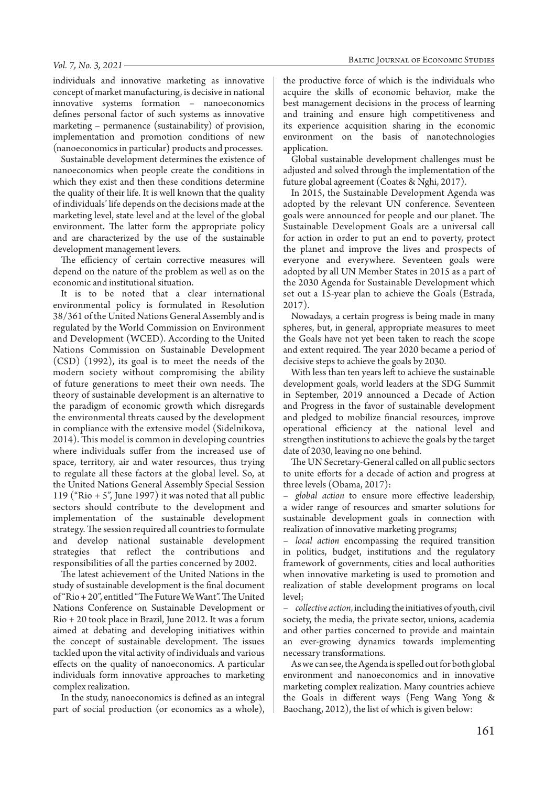individuals and innovative marketing as innovative concept of market manufacturing, is decisive in national innovative systems formation – nanoeconomics defines personal factor of such systems as innovative marketing – permanence (sustainability) of provision, implementation and promotion conditions of new (nanoeconomics in particular) products and processes.

Sustainable development determines the existence of nanoeconomics when people create the conditions in which they exist and then these conditions determine the quality of their life. It is well known that the quality of individuals' life depends on the decisions made at the marketing level, state level and at the level of the global environment. The latter form the appropriate policy and are characterized by the use of the sustainable development management levers.

The efficiency of certain corrective measures will depend on the nature of the problem as well as on the economic and institutional situation.

It is to be noted that a clear international environmental policy is formulated in Resolution 38/361 of the United Nations General Assembly and is regulated by the World Commission on Environment and Development (WCED). According to the United Nations Commission on Sustainable Development (CSD) (1992), its goal is to meet the needs of the modern society without compromising the ability of future generations to meet their own needs. The theory of sustainable development is an alternative to the paradigm of economic growth which disregards the environmental threats caused by the development in compliance with the extensive model (Sidelnikova, 2014). This model is common in developing countries where individuals suffer from the increased use of space, territory, air and water resources, thus trying to regulate all these factors at the global level. So, at the United Nations General Assembly Special Session 119 ("Rio  $+ 5$ ", June 1997) it was noted that all public sectors should contribute to the development and implementation of the sustainable development strategy. The session required all countries to formulate and develop national sustainable development strategies that reflect the contributions and responsibilities of all the parties concerned by 2002.

The latest achievement of the United Nations in the study of sustainable development is the final document of "Rio + 20", entitled "The Future We Want". The United Nations Conference on Sustainable Development or Rio + 20 took place in Brazil, June 2012. It was a forum aimed at debating and developing initiatives within the concept of sustainable development. The issues tackled upon the vital activity of individuals and various effects on the quality of nanoeconomics. A particular individuals form innovative approaches to marketing complex realization.

In the study, nanoeconomics is defined as an integral part of social production (or economics as a whole),

the productive force of which is the individuals who acquire the skills of economic behavior, make the best management decisions in the process of learning and training and ensure high competitiveness and its experience acquisition sharing in the economic environment on the basis of nanotechnologies application.

Global sustainable development challenges must be adjusted and solved through the implementation of the future global agreement (Coates & Nghi, 2017).

In 2015, the Sustainable Development Agenda was adopted by the relevant UN conference. Seventeen goals were announced for people and our planet. The Sustainable Development Goals are a universal call for action in order to put an end to poverty, protect the planet and improve the lives and prospects of everyone and everywhere. Seventeen goals were adopted by all UN Member States in 2015 as a part of the 2030 Agenda for Sustainable Development which set out a 15-year plan to achieve the Goals (Estrada, 2017).

Nowadays, a certain progress is being made in many spheres, but, in general, appropriate measures to meet the Goals have not yet been taken to reach the scope and extent required. The year 2020 became a period of decisive steps to achieve the goals by 2030.

With less than ten years left to achieve the sustainable development goals, world leaders at the SDG Summit in September, 2019 announced a Decade of Action and Progress in the favor of sustainable development and pledged to mobilize financial resources, improve operational efficiency at the national level and strengthen institutions to achieve the goals by the target date of 2030, leaving no one behind.

The UN Secretary-General called on all public sectors to unite efforts for a decade of action and progress at three levels (Obama, 2017):

– *global action* to ensure more effective leadership, a wider range of resources and smarter solutions for sustainable development goals in connection with realization of innovative marketing programs;

– *local action* encompassing the required transition in politics, budget, institutions and the regulatory framework of governments, cities and local authorities when innovative marketing is used to promotion and realization of stable development programs on local level;

– *collective action*, including the initiatives of youth, civil society, the media, the private sector, unions, academia and other parties concerned to provide and maintain an ever-growing dynamics towards implementing necessary transformations.

As we can see, the Agenda is spelled out for both global environment and nanoeconomics and in innovative marketing complex realization. Many countries achieve the Goals in different ways (Feng Wang Yong & Baochang, 2012), the list of which is given below: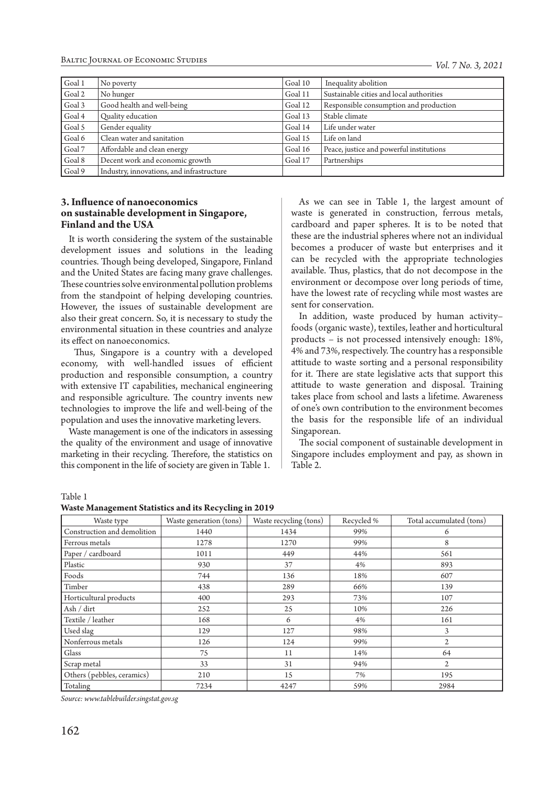Baltic Journal of Economic Studies

| Goal 1 | No poverty                                | Goal 10 | Inequality abolition                     |
|--------|-------------------------------------------|---------|------------------------------------------|
| Goal 2 | No hunger                                 | Goal 11 | Sustainable cities and local authorities |
| Goal 3 | Good health and well-being                | Goal 12 | Responsible consumption and production   |
| Goal 4 | Quality education                         | Goal 13 | Stable climate                           |
| Goal 5 | Gender equality                           | Goal 14 | Life under water                         |
| Goal 6 | Clean water and sanitation                | Goal 15 | Life on land                             |
| Goal 7 | Affordable and clean energy               | Goal 16 | Peace, justice and powerful institutions |
| Goal 8 | Decent work and economic growth           | Goal 17 | Partnerships                             |
| Goal 9 | Industry, innovations, and infrastructure |         |                                          |

# **3. Influence of nanoeconomics on sustainable development in Singapore, Finland and the USA**

It is worth considering the system of the sustainable development issues and solutions in the leading countries. Though being developed, Singapore, Finland and the United States are facing many grave challenges. These countries solve environmental pollution problems from the standpoint of helping developing countries. However, the issues of sustainable development are also their great concern. So, it is necessary to study the environmental situation in these countries and analyze its effect on nanoeconomics.

 Thus, Singapore is a country with a developed economy, with well-handled issues of efficient production and responsible consumption, a country with extensive IT capabilities, mechanical engineering and responsible agriculture. The country invents new technologies to improve the life and well-being of the population and uses the innovative marketing levers.

Waste management is one of the indicators in assessing the quality of the environment and usage of innovative marketing in their recycling. Therefore, the statistics on this component in the life of society are given in Table 1.

As we can see in Table 1, the largest amount of waste is generated in construction, ferrous metals, cardboard and paper spheres. It is to be noted that these are the industrial spheres where not an individual becomes a producer of waste but enterprises and it can be recycled with the appropriate technologies available. Thus, plastics, that do not decompose in the environment or decompose over long periods of time, have the lowest rate of recycling while most wastes are sent for conservation.

In addition, waste produced by human activity– foods (organic waste), textiles, leather and horticultural products – is not processed intensively enough: 18%, 4% and 73%, respectively. The country has a responsible attitude to waste sorting and a personal responsibility for it. There are state legislative acts that support this attitude to waste generation and disposal. Training takes place from school and lasts a lifetime. Awareness of one's own contribution to the environment becomes the basis for the responsible life of an individual Singaporean.

The social component of sustainable development in Singapore includes employment and pay, as shown in Table 2.

Table 1

**Waste Management Statistics and its Recycling in 2019**

| Waste type                  | Waste generation (tons) | Waste recycling (tons) | Recycled % | Total accumulated (tons) |
|-----------------------------|-------------------------|------------------------|------------|--------------------------|
| Construction and demolition | 1440                    | 1434                   | 99%        | 6                        |
| Ferrous metals              | 1278                    | 1270                   | 99%        | 8                        |
| Paper / cardboard           | 1011                    | 449                    | 44%        | 561                      |
| Plastic                     | 930                     | 37                     | 4%         | 893                      |
| Foods                       | 744                     | 136                    | 18%        | 607                      |
| Timber                      | 438                     | 289                    | 66%        | 139                      |
| Horticultural products      | 400                     | 293                    | 73%        | 107                      |
| Ash / dirt                  | 252                     | 25                     | 10%        | 226                      |
| Textile / leather           | 168                     | 6                      | 4%         | 161                      |
| Used slag                   | 129                     | 127                    | 98%        | 3                        |
| Nonferrous metals           | 126                     | 124                    | 99%        | $\overline{2}$           |
| Glass                       | 75                      | 11                     | 14%        | 64                       |
| Scrap metal                 | 33                      | 31                     | 94%        | $\mathbf{2}$             |
| Others (pebbles, ceramics)  | 210                     | 15                     | 7%         | 195                      |
| Totaling                    | 7234                    | 4247                   | 59%        | 2984                     |

*Source: www.tablebuilder.singstat.gov.sg*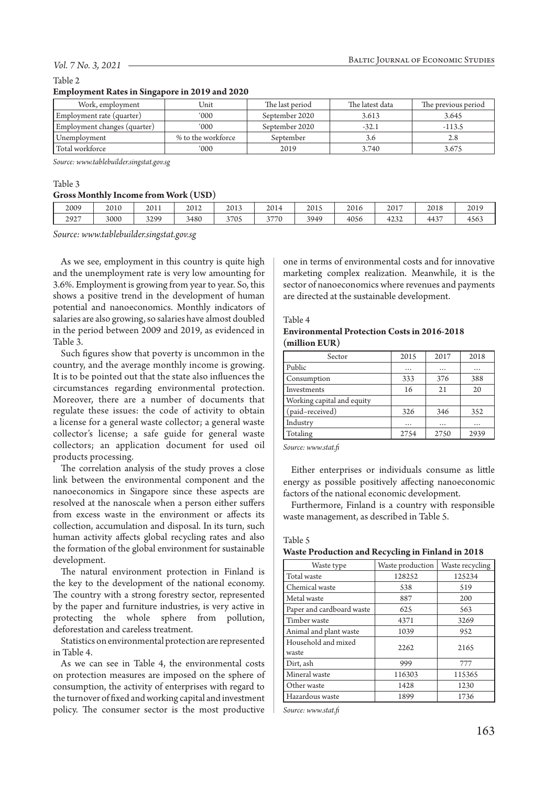#### *Vol. 7 No. 3, 2021*

#### Table 2

### **Employment Rates in Singapore in 2019 and 2020**

| Work, employment             | Unit               | The last period | The latest data | The previous period |
|------------------------------|--------------------|-----------------|-----------------|---------------------|
| Employment rate (quarter)    | 000'               | September 2020  | 3.613           | 3.645               |
| Employment changes (quarter) | $000^{\circ}$      | September 2020  | $-32.1$         | $-113.5$            |
| Unemployment                 | % to the workforce | September       | 3.0             | 2.8                 |
| Total workforce              | '000               | 2019            | 3.740           | 3.675               |

*Source: www.tablebuilder.singstat.gov.sg*

## Table 3

# **Gross Monthly Income from Work (USD)**

| 2009 | 2010 | 2011 | 2012 | 2013 | 2014                          | 2015 | 2016 | 2017           | 2018   | 2010<br>20 I J |
|------|------|------|------|------|-------------------------------|------|------|----------------|--------|----------------|
| 2927 | 3000 | 3299 | 3480 | 3705 | 3770<br>$\tilde{\phantom{a}}$ | 3949 | 4056 | $\sim$<br>4232 | $443-$ | 4563           |

*Source: www.tablebuilder.singstat.gov.sg*

As we see, employment in this country is quite high and the unemployment rate is very low amounting for 3.6%. Employment is growing from year to year. So, this shows a positive trend in the development of human potential and nanoeconomics. Monthly indicators of salaries are also growing, so salaries have almost doubled in the period between 2009 and 2019, as evidenced in Table 3.

Such figures show that poverty is uncommon in the country, and the average monthly income is growing. It is to be pointed out that the state also influences the circumstances regarding environmental protection. Moreover, there are a number of documents that regulate these issues: the code of activity to obtain a license for a general waste collector; a general waste collector's license; a safe guide for general waste collectors; an application document for used oil products processing.

The correlation analysis of the study proves a close link between the environmental component and the nanoeconomics in Singapore since these aspects are resolved at the nanoscale when a person either suffers from excess waste in the environment or affects its collection, accumulation and disposal. In its turn, such human activity affects global recycling rates and also the formation of the global environment for sustainable development.

The natural environment protection in Finland is the key to the development of the national economy. The country with a strong forestry sector, represented by the paper and furniture industries, is very active in protecting the whole sphere from pollution, deforestation and careless treatment.

Statistics on environmental protection are represented in Table 4.

As we can see in Table 4, the environmental costs on protection measures are imposed on the sphere of consumption, the activity of enterprises with regard to the turnover of fixed and working capital and investment policy. The consumer sector is the most productive

one in terms of environmental costs and for innovative marketing complex realization. Meanwhile, it is the sector of nanoeconomics where revenues and payments are directed at the sustainable development.

#### Table 4

## **Environmental Protection Costs in 2016-2018 (million EUR)**

| Sector                     | 2015     | 2017     | 2018     |
|----------------------------|----------|----------|----------|
| Public                     | $\cdots$ |          |          |
| Consumption                | 333      | 376      | 388      |
| Investments                | 16       | 21       | 20       |
| Working capital and equity |          |          |          |
| (paid-received)            | 326      | 346      | 352      |
| Industry                   |          | $\cdots$ | $\cdots$ |
| Totaling                   | 2754     | 2750     | 2939     |

*Source: www.stat.fi*

Either enterprises or individuals consume as little energy as possible positively affecting nanoeconomic factors of the national economic development.

Furthermore, Finland is a country with responsible waste management, as described in Table 5.

#### Table 5

#### **Waste Production and Recycling in Finland in 2018**

| Waste type                   | Waste production | Waste recycling |
|------------------------------|------------------|-----------------|
| Total waste                  | 128252           | 125234          |
| Chemical waste               | 538              | 519             |
| Metal waste                  | 887              | 200             |
| Paper and cardboard waste    | 625              | 563             |
| Timber waste                 | 4371             | 3269            |
| Animal and plant waste       | 1039             | 952             |
| Household and mixed<br>waste | 2262             | 2165            |
| Dirt, ash                    | 999              | 777             |
| Mineral waste                | 116303           | 115365          |
| Other waste                  | 1428             | 1230            |
| Hazardous waste              | 1899             | 1736            |

*Source: www.stat.fi*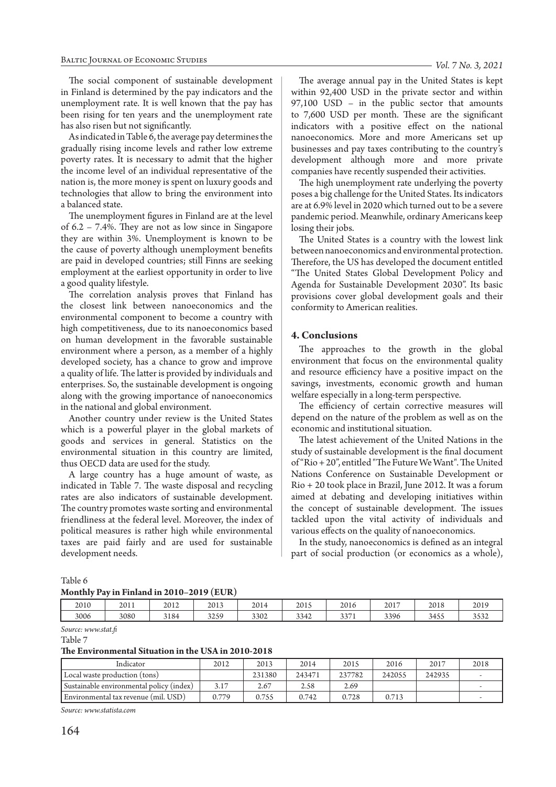*Vol. 7 No. 3, 2021*

The social component of sustainable development in Finland is determined by the pay indicators and the unemployment rate. It is well known that the pay has been rising for ten years and the unemployment rate has also risen but not significantly.

As indicated in Table 6, the average pay determines the gradually rising income levels and rather low extreme poverty rates. It is necessary to admit that the higher the income level of an individual representative of the nation is, the more money is spent on luxury goods and technologies that allow to bring the environment into a balanced state.

The unemployment figures in Finland are at the level of 6.2 – 7.4%. They are not as low since in Singapore they are within 3%. Unemployment is known to be the cause of poverty although unemployment benefits are paid in developed countries; still Finns are seeking employment at the earliest opportunity in order to live a good quality lifestyle.

The correlation analysis proves that Finland has the closest link between nanoeconomics and the environmental component to become a country with high competitiveness, due to its nanoeconomics based on human development in the favorable sustainable environment where a person, as a member of a highly developed society, has a chance to grow and improve a quality of life. The latter is provided by individuals and enterprises. So, the sustainable development is ongoing along with the growing importance of nanoeconomics in the national and global environment.

Another country under review is the United States which is a powerful player in the global markets of goods and services in general. Statistics on the environmental situation in this country are limited, thus OECD data are used for the study.

A large country has a huge amount of waste, as indicated in Table 7. The waste disposal and recycling rates are also indicators of sustainable development. The country promotes waste sorting and environmental friendliness at the federal level. Moreover, the index of political measures is rather high while environmental taxes are paid fairly and are used for sustainable development needs.

The average annual pay in the United States is kept within 92,400 USD in the private sector and within 97,100 USD – in the public sector that amounts to 7,600 USD per month. These are the significant indicators with a positive effect on the national nanoeconomics. More and more Americans set up businesses and pay taxes contributing to the country's development although more and more private companies have recently suspended their activities.

The high unemployment rate underlying the poverty poses a big challenge for the United States. Its indicators are at 6.9% level in 2020 which turned out to be a severe pandemic period. Meanwhile, ordinary Americans keep losing their jobs.

The United States is a country with the lowest link between nanoeconomics and environmental protection. Therefore, the US has developed the document entitled "The United States Global Development Policy and Agenda for Sustainable Development 2030". Its basic provisions cover global development goals and their conformity to American realities.

# **4. Conclusions**

The approaches to the growth in the global environment that focus on the environmental quality and resource efficiency have a positive impact on the savings, investments, economic growth and human welfare especially in a long-term perspective.

The efficiency of certain corrective measures will depend on the nature of the problem as well as on the economic and institutional situation.

The latest achievement of the United Nations in the study of sustainable development is the final document of "Rio + 20", entitled "The Future We Want". The United Nations Conference on Sustainable Development or Rio + 20 took place in Brazil, June 2012. It was a forum aimed at debating and developing initiatives within the concept of sustainable development. The issues tackled upon the vital activity of individuals and various effects on the quality of nanoeconomics.

In the study, nanoeconomics is defined as an integral part of social production (or economics as a whole),

## Table 6

#### **Monthly Pay in Finland in 2010–2019 (EUR)**

| 2010 | 2011 | 2012 | 2013 | 2014 | 2015 | 2016               | 2017 | 2018 | 2019                 |
|------|------|------|------|------|------|--------------------|------|------|----------------------|
| 3006 | 3080 | 3184 | 3259 | 3302 | 3342 | 227<br><u>JJ/1</u> | 3396 | 3455 | $\sim$ $\sim$ $\sim$ |

*Source: www.stat.fi*

Table 7

#### **The Environmental Situation in the USA in 2010-2018**

| Indicator                                | 2012  | 2013   | 2014   | 2015   | 2016   | 2017   | 2018 |
|------------------------------------------|-------|--------|--------|--------|--------|--------|------|
| Local waste production (tons)            |       | 231380 | 243471 | 237782 | 242055 | 242935 |      |
| Sustainable environmental policy (index) | 3.17  | 2.67   | 2.58   | 2.69   |        |        |      |
| Environmental tax revenue (mil. USD)     | 0.779 | 0.755  | 0.742  | 0.728  | 0.713  |        |      |

*Source: www.statista.com*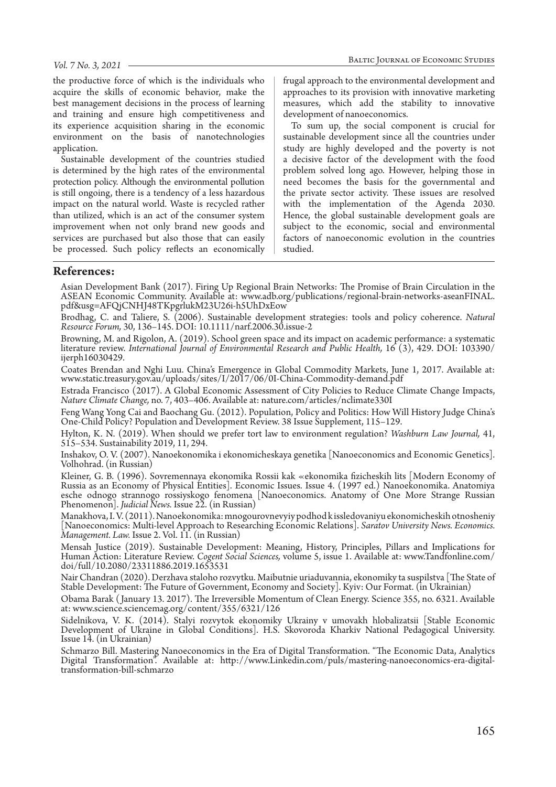the productive force of which is the individuals who acquire the skills of economic behavior, make the best management decisions in the process of learning and training and ensure high competitiveness and its experience acquisition sharing in the economic environment on the basis of nanotechnologies application.

Sustainable development of the countries studied is determined by the high rates of the environmental protection policy. Although the environmental pollution is still ongoing, there is a tendency of a less hazardous impact on the natural world. Waste is recycled rather than utilized, which is an act of the consumer system improvement when not only brand new goods and services are purchased but also those that can easily be processed. Such policy reflects an economically

frugal approach to the environmental development and approaches to its provision with innovative marketing measures, which add the stability to innovative development of nanoeconomics.

To sum up, the social component is crucial for sustainable development since all the countries under study are highly developed and the poverty is not a decisive factor of the development with the food problem solved long ago. However, helping those in need becomes the basis for the governmental and the private sector activity. These issues are resolved with the implementation of the Agenda 2030. Hence, the global sustainable development goals are subject to the economic, social and environmental factors of nanoeconomic evolution in the countries studied.

## **References:**

Asian Development Bank (2017). Firing Up Regional Brain Networks: The Promise of Brain Circulation in the ASEAN Economic Community. Available at: www.adb.org/publications/regional-brain-networks-aseanFINAL. pdf&usg=AFQjCNHJ48TKpgrlukM23U26i-h5UhDxEow

Brodhag, C. and Taliere, S. (2006). Sustainable development strategies: tools and policy coherence. *Natural Resource Forum,* 30, 136–145. DOI: 10.1111/narf.2006.30.issue-2

Browning, M. and Rigolon, A. (2019). School green space and its impact on academic performance: a systematic literature review. *International Journal of Environmental Research and Public Health,* 16 (3), 429. DOI: 103390/ ijerph16030429.

Coates Brendan and Nghi Luu. China's Emergence in Global Commodity Markets, June 1, 2017. Available at: www.static.treasury.gov.au/uploads/sites/I/2017/06/0I-China-Commodity-demand.pdf

Estrada Francisco (2017). A Global Economic Assessment of City Policies to Reduce Climate Change Impacts, *Nature Climate Change,* no. 7, 403–406. Available at: nature.com/articles/nclimate330I

Feng Wang Yong Cai and Baochang Gu. (2012). Population, Policy and Politics: How Will History Judge China's One-Child Policy? Population and Development Review. 38 Issue Supplement, 115–129.

Hylton, K. N. (2019). When should we prefer tort law to environment regulation? *Washburn Law Journal,* 41, 515–534. Sustainability 2019, 11, 294.

Inshakov, O. V. (2007). Nanoekonomika i ekonomicheskaya genetika [Nanoeconomics and Economic Genetics]. Volhohrad. (in Russian)

Kleiner, G. B. (1996). Sovremennaya ekonomika Rossii kak «ekonomika fizicheskih lits [Modern Economy of Russia as an Economy of Physical Entities]. Economic Issues. Issue 4. (1997 ed.) Nanoekonomika. Anatomiya esche odnogo strannogo rossiyskogo fenomena [Nanoeconomics. Anatomy of One More Strange Russian Phenomenon]. *Judicial News.* Issue 22. (in Russian)

Manakhova, I. V. (2011). Nanoekonomika: mnogourovnevyiy podhod k issledovaniyu ekonomicheskih otnosheniy [Nanoeconomics: Multi-level Approach to Researching Economic Relations]. *Saratov University News. Economics. Management. Law.* Issue 2. Vol. 11. (in Russian)

Mensah Justice (2019). Sustainable Development: Meaning, History, Principles, Pillars and Implications for Human Action: Literature Review. *Cogent Social Sciences,* volume 5, issue 1. Available at: www.Tandfonline.com/ doi/full/10.2080/23311886.2019.1653531

Nair Chandran (2020). Derzhava staloho rozvytku. Maibutnie uriaduvannia, ekonomiky ta suspilstva [The State of Stable Development: The Future of Government, Economy and Society]. Kyiv: Our Format. (in Ukrainian)

Obama Barak ( January 13. 2017). The Irreversible Momentum of Clean Energy. Science 355, no. 6321. Available at: www.science.sciencemag.org/content/355/6321/126

Sidelnikova, V. K. (2014). Stalyi rozvytok ekonomiky Ukrainy v umovakh hlobalizatsii [Stable Economic Development of Ukraine in Global Conditions]. H.S. Skovoroda Kharkiv National Pedagogical University. Issue 14. (in Ukrainian)

Schmarzo Bill. Mastering Nanoeconomics in the Era of Digital Transformation. "The Economic Data, Analytics Digital Transformation". Available at: http://www.Linkedin.com/puls/mastering-nanoeconomics-era-digitaltransformation-bill-schmarzo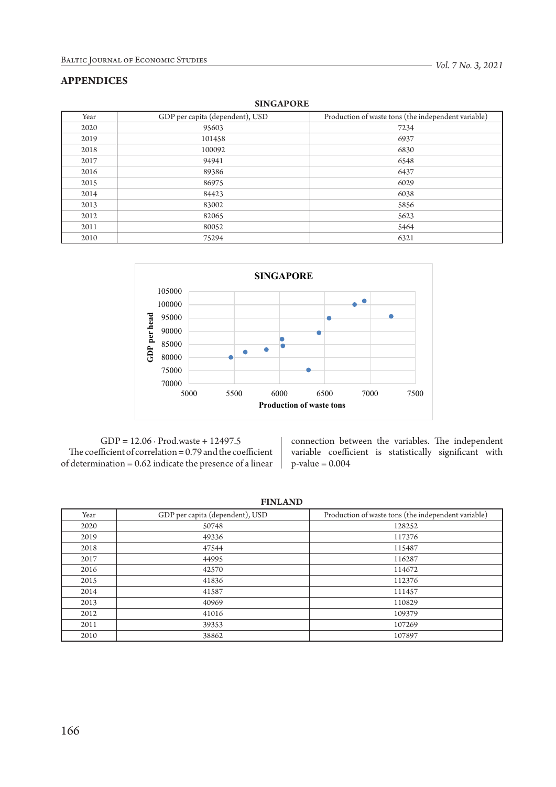# **APPENDICES**

| 0.1112101 |                                 |                                                     |  |  |  |  |  |
|-----------|---------------------------------|-----------------------------------------------------|--|--|--|--|--|
| Year      | GDP per capita (dependent), USD | Production of waste tons (the independent variable) |  |  |  |  |  |
| 2020      | 95603                           | 7234                                                |  |  |  |  |  |
| 2019      | 101458                          | 6937                                                |  |  |  |  |  |
| 2018      | 100092                          | 6830                                                |  |  |  |  |  |
| 2017      | 94941                           | 6548                                                |  |  |  |  |  |
| 2016      | 89386                           | 6437                                                |  |  |  |  |  |
| 2015      | 86975                           | 6029                                                |  |  |  |  |  |
| 2014      | 84423                           | 6038                                                |  |  |  |  |  |
| 2013      | 83002                           | 5856                                                |  |  |  |  |  |
| 2012      | 82065                           | 5623                                                |  |  |  |  |  |
| 2011      | 80052                           | 5464                                                |  |  |  |  |  |
| 2010      | 75294                           | 6321                                                |  |  |  |  |  |

**SINGAPORE**



GDP = 12.06 ∙ Prod.waste + 12497.5 The coefficient of correlation = 0.79 and the coefficient of determination  $=0.62$  indicate the presence of a linear

connection between the variables. The independent variable coefficient is statistically significant with  $p$ -value = 0.004

**FINLAND**

| Year | GDP per capita (dependent), USD | Production of waste tons (the independent variable) |
|------|---------------------------------|-----------------------------------------------------|
| 2020 | 50748                           | 128252                                              |
| 2019 | 49336                           | 117376                                              |
| 2018 | 47544                           | 115487                                              |
| 2017 | 44995                           | 116287                                              |
| 2016 | 42570                           | 114672                                              |
| 2015 | 41836                           | 112376                                              |
| 2014 | 41587                           | 111457                                              |
| 2013 | 40969                           | 110829                                              |
| 2012 | 41016                           | 109379                                              |
| 2011 | 39353                           | 107269                                              |
| 2010 | 38862                           | 107897                                              |